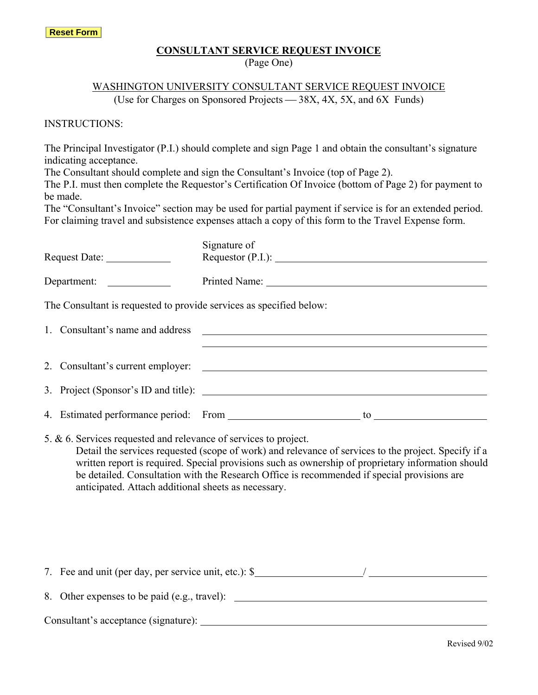#### **CONSULTANT SERVICE REQUEST INVOICE**

(Page One)

# WASHINGTON UNIVERSITY CONSULTANT SERVICE REQUEST INVOICE

(Use for Charges on Sponsored Projects  $-$  38X, 4X, 5X, and 6X Funds)

INSTRUCTIONS:

The Principal Investigator (P.I.) should complete and sign Page 1 and obtain the consultant's signature indicating acceptance.

The Consultant should complete and sign the Consultant's Invoice (top of Page 2).

The P.I. must then complete the Requestor's Certification Of Invoice (bottom of Page 2) for payment to be made.

The "Consultant's Invoice" section may be used for partial payment if service is for an extended period. For claiming travel and subsistence expenses attach a copy of this form to the Travel Expense form.

|  |                                  | Signature of                                                                                                            |  |                                                                                                                                                                                                                                                                                                           |  |
|--|----------------------------------|-------------------------------------------------------------------------------------------------------------------------|--|-----------------------------------------------------------------------------------------------------------------------------------------------------------------------------------------------------------------------------------------------------------------------------------------------------------|--|
|  |                                  |                                                                                                                         |  |                                                                                                                                                                                                                                                                                                           |  |
|  |                                  | The Consultant is requested to provide services as specified below:                                                     |  |                                                                                                                                                                                                                                                                                                           |  |
|  | 1. Consultant's name and address |                                                                                                                         |  | <u> 1989 - Jan Barbara Barat, martin da basar da basar da basar da basar da basar da basar da basar da basar da b</u>                                                                                                                                                                                     |  |
|  |                                  |                                                                                                                         |  | 2. Consultant's current employer:                                                                                                                                                                                                                                                                         |  |
|  |                                  |                                                                                                                         |  |                                                                                                                                                                                                                                                                                                           |  |
|  |                                  | 5. & 6. Services requested and relevance of services to project.<br>anticipated. Attach additional sheets as necessary. |  | Detail the services requested (scope of work) and relevance of services to the project. Specify if a<br>written report is required. Special provisions such as ownership of proprietary information should<br>be detailed. Consultation with the Research Office is recommended if special provisions are |  |
|  |                                  |                                                                                                                         |  | 7. Fee and unit (per day, per service unit, etc.): \$                                                                                                                                                                                                                                                     |  |

8. Other expenses to be paid (e.g., travel):

Consultant's acceptance (signature):